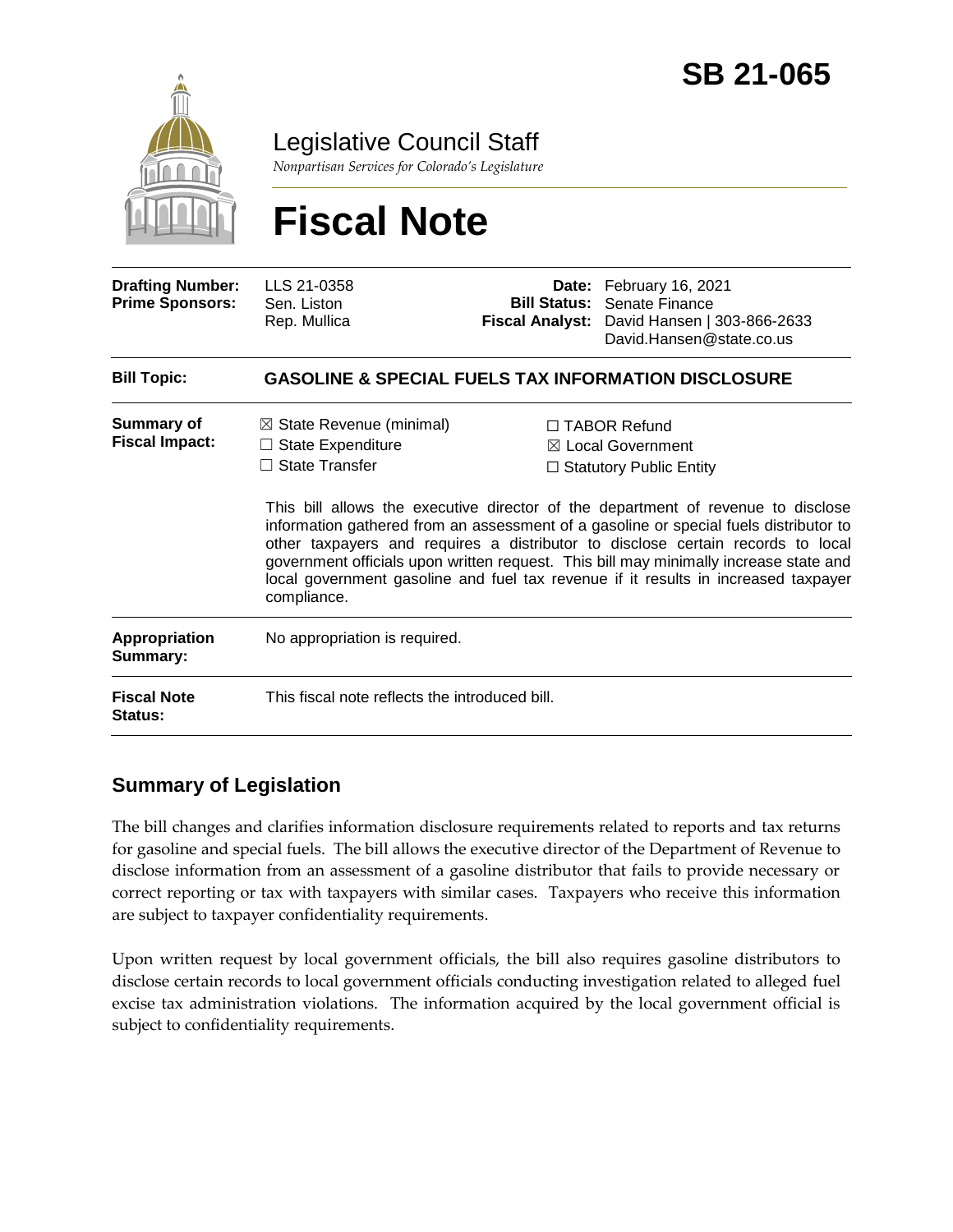

Legislative Council Staff

*Nonpartisan Services for Colorado's Legislature*

# **Fiscal Note**

| <b>Drafting Number:</b><br><b>Prime Sponsors:</b> | LLS 21-0358<br>Sen. Liston<br>Rep. Mullica                                                              |  | Date: February 16, 2021<br><b>Bill Status: Senate Finance</b><br>Fiscal Analyst: David Hansen   303-866-2633<br>David.Hansen@state.co.us                                                                                                                                                                                                                                                                                                                                                                                             |  |
|---------------------------------------------------|---------------------------------------------------------------------------------------------------------|--|--------------------------------------------------------------------------------------------------------------------------------------------------------------------------------------------------------------------------------------------------------------------------------------------------------------------------------------------------------------------------------------------------------------------------------------------------------------------------------------------------------------------------------------|--|
| <b>Bill Topic:</b>                                | <b>GASOLINE &amp; SPECIAL FUELS TAX INFORMATION DISCLOSURE</b>                                          |  |                                                                                                                                                                                                                                                                                                                                                                                                                                                                                                                                      |  |
| <b>Summary of</b><br><b>Fiscal Impact:</b>        | $\boxtimes$ State Revenue (minimal)<br><b>State Expenditure</b><br><b>State Transfer</b><br>compliance. |  | $\Box$ TABOR Refund<br>$\boxtimes$ Local Government<br>$\Box$ Statutory Public Entity<br>This bill allows the executive director of the department of revenue to disclose<br>information gathered from an assessment of a gasoline or special fuels distributor to<br>other taxpayers and requires a distributor to disclose certain records to local<br>government officials upon written request. This bill may minimally increase state and<br>local government gasoline and fuel tax revenue if it results in increased taxpayer |  |
| Appropriation<br>Summary:                         | No appropriation is required.                                                                           |  |                                                                                                                                                                                                                                                                                                                                                                                                                                                                                                                                      |  |
| <b>Fiscal Note</b><br>Status:                     | This fiscal note reflects the introduced bill.                                                          |  |                                                                                                                                                                                                                                                                                                                                                                                                                                                                                                                                      |  |

### **Summary of Legislation**

The bill changes and clarifies information disclosure requirements related to reports and tax returns for gasoline and special fuels. The bill allows the executive director of the Department of Revenue to disclose information from an assessment of a gasoline distributor that fails to provide necessary or correct reporting or tax with taxpayers with similar cases. Taxpayers who receive this information are subject to taxpayer confidentiality requirements.

Upon written request by local government officials, the bill also requires gasoline distributors to disclose certain records to local government officials conducting investigation related to alleged fuel excise tax administration violations. The information acquired by the local government official is subject to confidentiality requirements.